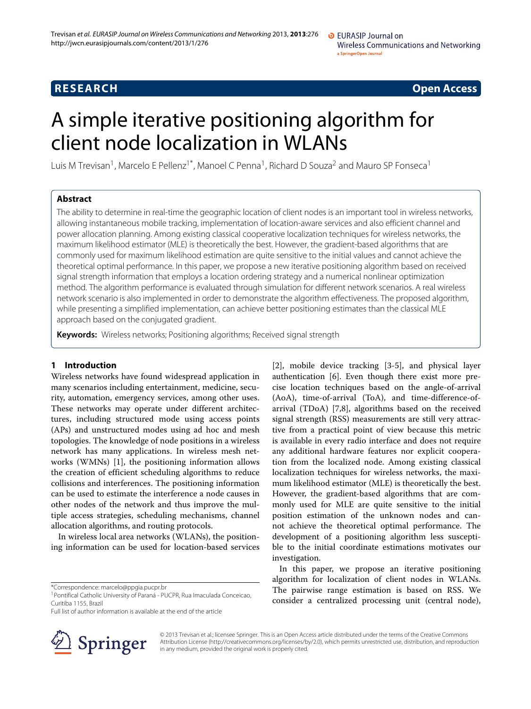# **RESEARCH Open Access**

# A simple iterative positioning algorithm for client node localization in WLANs

Luis M Trevisan<sup>1</sup>, Marcelo E Pellenz<sup>1\*</sup>, Manoel C Penna<sup>1</sup>, Richard D Souza<sup>2</sup> and Mauro SP Fonseca<sup>1</sup>

# **Abstract**

The ability to determine in real-time the geographic location of client nodes is an important tool in wireless networks, allowing instantaneous mobile tracking, implementation of location-aware services and also efficient channel and power allocation planning. Among existing classical cooperative localization techniques for wireless networks, the maximum likelihood estimator (MLE) is theoretically the best. However, the gradient-based algorithms that are commonly used for maximum likelihood estimation are quite sensitive to the initial values and cannot achieve the theoretical optimal performance. In this paper, we propose a new iterative positioning algorithm based on received signal strength information that employs a location ordering strategy and a numerical nonlinear optimization method. The algorithm performance is evaluated through simulation for different network scenarios. A real wireless network scenario is also implemented in order to demonstrate the algorithm effectiveness. The proposed algorithm, while presenting a simplified implementation, can achieve better positioning estimates than the classical MLE approach based on the conjugated gradient.

**Keywords:** Wireless networks; Positioning algorithms; Received signal strength

### **1 Introduction**

Wireless networks have found widespread application in many scenarios including entertainment, medicine, security, automation, emergency services, among other uses. These networks may operate under different architectures, including structured mode using access points (APs) and unstructured modes using ad hoc and mesh topologies. The knowledge of node positions in a wireless network has many applications. In wireless mesh networks (WMNs) [\[1\]](#page-10-0), the positioning information allows the creation of efficient scheduling algorithms to reduce collisions and interferences. The positioning information can be used to estimate the interference a node causes in other nodes of the network and thus improve the multiple access strategies, scheduling mechanisms, channel allocation algorithms, and routing protocols.

In wireless local area networks (WLANs), the positioning information can be used for location-based services

\*Correspondence: [marcelo@ppgia.pucpr.br](mailto:marcelo@ppgia.pucpr.br)

Full list of author information is available at the end of the article



[\[2\]](#page-10-1), mobile device tracking [\[3-](#page-10-2)[5\]](#page-10-3), and physical layer authentication [\[6\]](#page-10-4). Even though there exist more precise location techniques based on the angle-of-arrival (AoA), time-of-arrival (ToA), and time-difference-ofarrival (TDoA) [\[7,](#page-10-5)[8\]](#page-10-6), algorithms based on the received signal strength (RSS) measurements are still very attractive from a practical point of view because this metric is available in every radio interface and does not require any additional hardware features nor explicit cooperation from the localized node. Among existing classical localization techniques for wireless networks, the maximum likelihood estimator (MLE) is theoretically the best. However, the gradient-based algorithms that are commonly used for MLE are quite sensitive to the initial position estimation of the unknown nodes and cannot achieve the theoretical optimal performance. The development of a positioning algorithm less susceptible to the initial coordinate estimations motivates our investigation.

In this paper, we propose an iterative positioning algorithm for localization of client nodes in WLANs. The pairwise range estimation is based on RSS. We consider a centralized processing unit (central node),

© 2013 Trevisan et al.; licensee Springer. This is an Open Access article distributed under the terms of the Creative Commons Attribution License (http://creativecommons.org/licenses/by/2.0), which permits unrestricted use, distribution, and reproduction in any medium, provided the original work is properly cited.

<sup>1</sup>Pontifical Catholic University of Paraná - PUCPR, Rua Imaculada Conceicao, Curitiba 1155, Brazil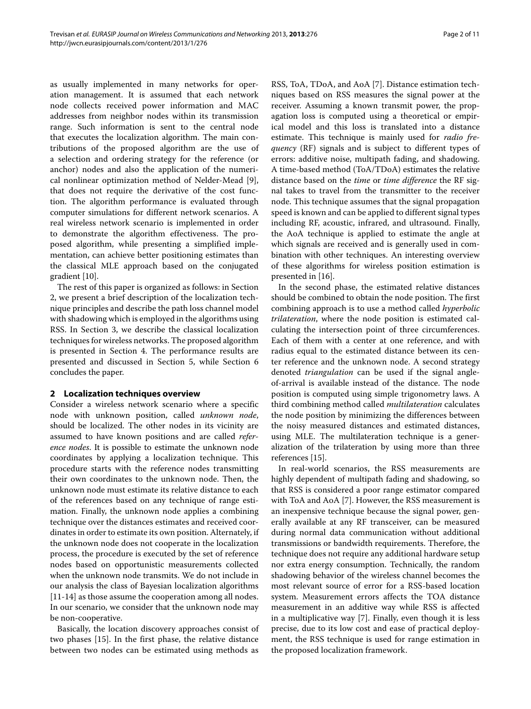as usually implemented in many networks for operation management. It is assumed that each network node collects received power information and MAC addresses from neighbor nodes within its transmission range. Such information is sent to the central node that executes the localization algorithm. The main contributions of the proposed algorithm are the use of a selection and ordering strategy for the reference (or anchor) nodes and also the application of the numerical nonlinear optimization method of Nelder-Mead [\[9\]](#page-10-7), that does not require the derivative of the cost function. The algorithm performance is evaluated through computer simulations for different network scenarios. A real wireless network scenario is implemented in order to demonstrate the algorithm effectiveness. The proposed algorithm, while presenting a simplified implementation, can achieve better positioning estimates than the classical MLE approach based on the conjugated gradient [\[10\]](#page-10-8).

The rest of this paper is organized as follows: in Section [2,](#page-1-0) we present a brief description of the localization technique principles and describe the path loss channel model with shadowing which is employed in the algorithms using RSS. In Section [3,](#page-2-0) we describe the classical localization techniques for wireless networks. The proposed algorithm is presented in Section [4.](#page-3-0) The performance results are presented and discussed in Section [5,](#page-7-0) while Section [6](#page-9-0) concludes the paper.

#### <span id="page-1-0"></span>**2 Localization techniques overview**

Consider a wireless network scenario where a specific node with unknown position, called *unknown node*, should be localized. The other nodes in its vicinity are assumed to have known positions and are called *reference nodes*. It is possible to estimate the unknown node coordinates by applying a localization technique. This procedure starts with the reference nodes transmitting their own coordinates to the unknown node. Then, the unknown node must estimate its relative distance to each of the references based on any technique of range estimation. Finally, the unknown node applies a combining technique over the distances estimates and received coordinates in order to estimate its own position. Alternately, if the unknown node does not cooperate in the localization process, the procedure is executed by the set of reference nodes based on opportunistic measurements collected when the unknown node transmits. We do not include in our analysis the class of Bayesian localization algorithms [\[11-](#page-10-9)[14\]](#page-10-10) as those assume the cooperation among all nodes. In our scenario, we consider that the unknown node may be non-cooperative.

Basically, the location discovery approaches consist of two phases [\[15\]](#page-10-11). In the first phase, the relative distance between two nodes can be estimated using methods as

RSS, ToA, TDoA, and AoA [\[7\]](#page-10-5). Distance estimation techniques based on RSS measures the signal power at the receiver. Assuming a known transmit power, the propagation loss is computed using a theoretical or empirical model and this loss is translated into a distance estimate. This technique is mainly used for *radio frequency* (RF) signals and is subject to different types of errors: additive noise, multipath fading, and shadowing. A time-based method (ToA/TDoA) estimates the relative distance based on the *time* or *time difference* the RF signal takes to travel from the transmitter to the receiver node. This technique assumes that the signal propagation speed is known and can be applied to different signal types including RF, acoustic, infrared, and ultrasound. Finally, the AoA technique is applied to estimate the angle at which signals are received and is generally used in combination with other techniques. An interesting overview of these algorithms for wireless position estimation is presented in [\[16\]](#page-10-12).

In the second phase, the estimated relative distances should be combined to obtain the node position. The first combining approach is to use a method called *hyperbolic trilateration*, where the node position is estimated calculating the intersection point of three circumferences. Each of them with a center at one reference, and with radius equal to the estimated distance between its center reference and the unknown node. A second strategy denoted *triangulation* can be used if the signal angleof-arrival is available instead of the distance. The node position is computed using simple trigonometry laws. A third combining method called *multilateration* calculates the node position by minimizing the differences between the noisy measured distances and estimated distances, using MLE. The multilateration technique is a generalization of the trilateration by using more than three references [\[15\]](#page-10-11).

In real-world scenarios, the RSS measurements are highly dependent of multipath fading and shadowing, so that RSS is considered a poor range estimator compared with ToA and AoA [\[7\]](#page-10-5). However, the RSS measurement is an inexpensive technique because the signal power, generally available at any RF transceiver, can be measured during normal data communication without additional transmissions or bandwidth requirements. Therefore, the technique does not require any additional hardware setup nor extra energy consumption. Technically, the random shadowing behavior of the wireless channel becomes the most relevant source of error for a RSS-based location system. Measurement errors affects the TOA distance measurement in an additive way while RSS is affected in a multiplicative way [\[7\]](#page-10-5). Finally, even though it is less precise, due to its low cost and ease of practical deployment, the RSS technique is used for range estimation in the proposed localization framework.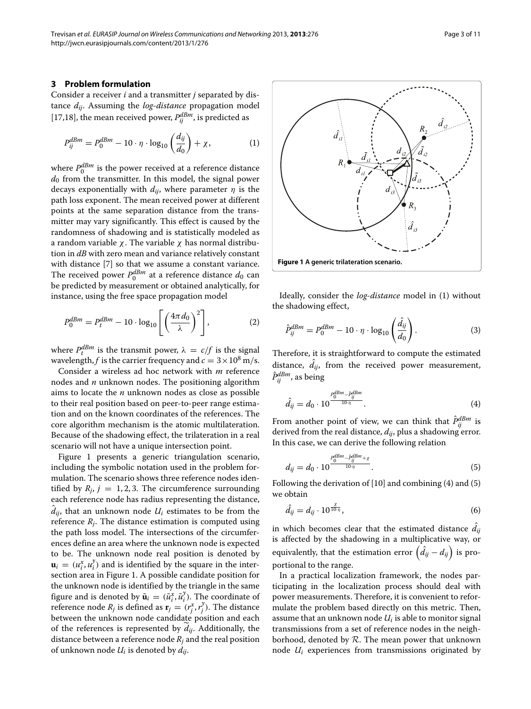<span id="page-2-0"></span>Consider a receiver *i* and a transmitter *j* separated by distance *dij*. Assuming the *log-distance* propagation model [\[17](#page-10-13)[,18\]](#page-10-14), the mean received power,  $P_{ij}^{dBm}$ , is predicted as

$$
P_{ij}^{dBm} = P_0^{dBm} - 10 \cdot \eta \cdot \log_{10} \left(\frac{d_{ij}}{d_0}\right) + \chi,\tag{1}
$$

where  $P_0^{dBm}$  is the power received at a reference distance  $d_0$  from the transmitter. In this model, the signal power decays exponentially with  $d_{ij}$ , where parameter  $\eta$  is the path loss exponent. The mean received power at different points at the same separation distance from the transmitter may vary significantly. This effect is caused by the randomness of shadowing and is statistically modeled as a random variable *χ*. The variable *χ* has normal distribution in *dB* with zero mean and variance relatively constant with distance [\[7\]](#page-10-5) so that we assume a constant variance. The received power  $P_0^{dBm}$  at a reference distance  $d_0$  can be predicted by measurement or obtained analytically, for instance, using the free space propagation model

$$
P_0^{dBm} = P_t^{dBm} - 10 \cdot \log_{10} \left[ \left( \frac{4\pi d_0}{\lambda} \right)^2 \right],\tag{2}
$$

where  $P_t^{dBm}$  is the transmit power,  $\lambda = c/f$  is the signal wavelength, *f* is the carrier frequency and  $c = 3 \times 10^8$  m/s.

Consider a wireless ad hoc network with *m* reference nodes and *n* unknown nodes. The positioning algorithm aims to locate the *n* unknown nodes as close as possible to their real position based on peer-to-peer range estimation and on the known coordinates of the references. The core algorithm mechanism is the atomic multilateration. Because of the shadowing effect, the trilateration in a real scenario will not have a unique intersection point.

Figure [1](#page-2-1) presents a generic triangulation scenario, including the symbolic notation used in the problem formulation. The scenario shows three reference nodes identified by  $R_i$ ,  $j = 1, 2, 3$ . The circumference surrounding each reference node has radius representing the distance,  $d_{ij}$ , that an unknown node  $U_i$  estimates to be from the reference  $R_i$ . The distance estimation is computed using the path loss model. The intersections of the circumferences define an area where the unknown node is expected to be. The unknown node real position is denoted by  $\mathbf{u}_i = (u_i^x, u_i^y)$  and is identified by the square in the intersection area in Figure [1.](#page-2-1) A possible candidate position for the unknown node is identified by the triangle in the same figure and is denoted by  $\tilde{\mathbf{u}}_i = (\tilde{u}_i^x, \tilde{u}_i^y)$ . The coordinate of reference node  $R_j$  is defined as  $\mathbf{r}_j = (r_j^x, r_j^y)$ . The distance between the unknown node candidate position and each of the references is represented by *dij*. Additionally, the distance between a reference node *Rj* and the real position of unknown node *Ui* is denoted by *dij*.

<span id="page-2-2"></span>

<span id="page-2-1"></span>Ideally, consider the *log-distance* model in [\(1\)](#page-2-2) without the shadowing effect,

$$
\hat{P}_{ij}^{dBm} = P_0^{dBm} - 10 \cdot \eta \cdot \log_{10} \left( \frac{\hat{d}_{ij}}{d_0} \right). \tag{3}
$$

Therefore, it is straightforward to compute the estimated distance,  $d_{ij}$ , from the received power measurement,  $\hat{P}^{dBm}_{ij}$ , as being

<span id="page-2-3"></span>
$$
\hat{d}_{ij} = d_0 \cdot 10^{\frac{P_0^{dBm} - \hat{P}_{ij}^{dBm}}{10 \cdot \eta}}.
$$
\n(4)

From another point of view, we can think that  $\hat{P}_{ij}^{dBm}$  is derived from the real distance,  $d_{ij}$ , plus a shadowing error. In this case, we can derive the following relation

<span id="page-2-4"></span>
$$
d_{ij} = d_0 \cdot 10^{\frac{P_0^{dBm} - \hat{P}_{ij}^{BBm} + \chi}{10 \cdot \eta}}.
$$
\n(5)

Following the derivation of [\[10\]](#page-10-8) and combining [\(4\)](#page-2-3) and [\(5\)](#page-2-4) we obtain

$$
\hat{d}_{ij} = d_{ij} \cdot 10^{\frac{\chi}{10 \cdot \eta}},\tag{6}
$$

in which becomes clear that the estimated distance  $d_{ij}$ is affected by the shadowing in a multiplicative way, or equivalently, that the estimation error  $\left( \hat{d}_{ij} - d_{ij} \right)$  is proportional to the range.

In a practical localization framework, the nodes participating in the localization process should deal with power measurements. Therefore, it is convenient to reformulate the problem based directly on this metric. Then, assume that an unknown node *Ui* is able to monitor signal transmissions from a set of reference nodes in the neighborhood, denoted by  $R$ . The mean power that unknown node *Ui* experiences from transmissions originated by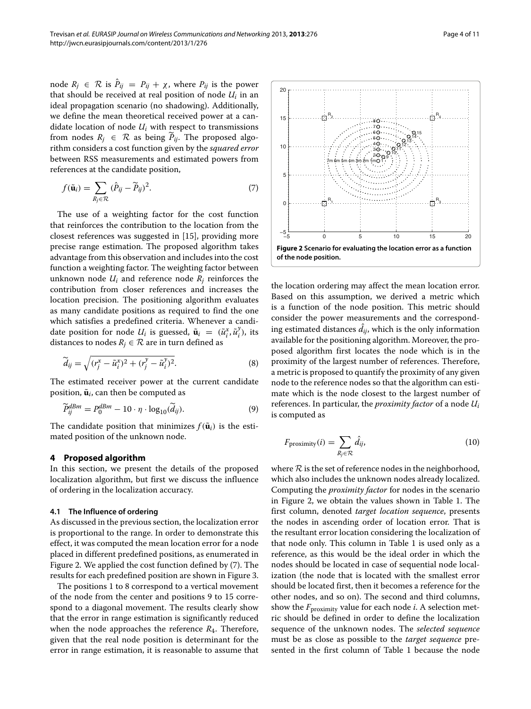node  $R_j \in \mathcal{R}$  is  $\hat{P}_{ij} = P_{ij} + \chi$ , where  $P_{ij}$  is the power that should be received at real position of node *Ui* in an ideal propagation scenario (no shadowing). Additionally, we define the mean theoretical received power at a candidate location of node  $U_i$  with respect to transmissions from nodes  $R_j \in \mathcal{R}$  as being  $P_{ij}$ . The proposed algorithm considers a cost function given by the *squared error* between RSS measurements and estimated powers from references at the candidate position,

$$
f(\tilde{\mathbf{u}}_i) = \sum_{R_j \in \mathcal{R}} (\hat{P}_{ij} - \widetilde{P}_{ij})^2.
$$
 (7)

The use of a weighting factor for the cost function that reinforces the contribution to the location from the closest references was suggested in [\[15\]](#page-10-11), providing more precise range estimation. The proposed algorithm takes advantage from this observation and includes into the cost function a weighting factor. The weighting factor between unknown node  $U_i$  and reference node  $R_i$  reinforces the contribution from closer references and increases the location precision. The positioning algorithm evaluates as many candidate positions as required to find the one which satisfies a predefined criteria. Whenever a candidate position for node  $U_i$  is guessed,  $\tilde{\mathbf{u}}_i = (\tilde{u}_i^x, \tilde{u}_i^y)$ , its distances to nodes  $R_i \in \mathcal{R}$  are in turn defined as

$$
\widetilde{d}_{ij} = \sqrt{(r_j^x - \widetilde{u}_i^x)^2 + (r_j^y - \widetilde{u}_i^y)^2}.
$$
\n(8)

The estimated receiver power at the current candidate position,  $\tilde{\mathbf{u}}_i$ , can then be computed as

$$
\widetilde{P}_{ij}^{dBm} = P_0^{dBm} - 10 \cdot \eta \cdot \log_{10}(\widetilde{d}_{ij}).\tag{9}
$$

The candidate position that minimizes  $f(\tilde{\mathbf{u}}_i)$  is the estimated position of the unknown node.

#### <span id="page-3-0"></span>**4 Proposed algorithm**

In this section, we present the details of the proposed localization algorithm, but first we discuss the influence of ordering in the localization accuracy.

#### **4.1 The Influence of ordering**

As discussed in the previous section, the localization error is proportional to the range. In order to demonstrate this effect, it was computed the mean location error for a node placed in different predefined positions, as enumerated in Figure [2.](#page-3-1) We applied the cost function defined by [\(7\)](#page-3-2). The results for each predefined position are shown in Figure [3.](#page-4-0)

The positions 1 to 8 correspond to a vertical movement of the node from the center and positions 9 to 15 correspond to a diagonal movement. The results clearly show that the error in range estimation is significantly reduced when the node approaches the reference *R*4. Therefore, given that the real node position is determinant for the error in range estimation, it is reasonable to assume that

<span id="page-3-2"></span>

<span id="page-3-1"></span>the location ordering may affect the mean location error. Based on this assumption, we derived a metric which is a function of the node position. This metric should consider the power measurements and the corresponding estimated distances  $d_{ij}$ , which is the only information available for the positioning algorithm. Moreover, the proposed algorithm first locates the node which is in the proximity of the largest number of references. Therefore, a metric is proposed to quantify the proximity of any given node to the reference nodes so that the algorithm can estimate which is the node closest to the largest number of references. In particular, the *proximity factor* of a node *Ui* is computed as

<span id="page-3-3"></span>
$$
F_{\text{proximity}}(i) = \sum_{R_j \in \mathcal{R}} \hat{d}_{ij},\tag{10}
$$

where  $R$  is the set of reference nodes in the neighborhood, which also includes the unknown nodes already localized. Computing the *proximity factor* for nodes in the scenario in Figure [2,](#page-3-1) we obtain the values shown in Table [1.](#page-4-1) The first column, denoted *target location sequence*, presents the nodes in ascending order of location error. That is the resultant error location considering the localization of that node only. This column in Table 1 is used only as a reference, as this would be the ideal order in which the nodes should be located in case of sequential node localization (the node that is located with the smallest error should be located first, then it becomes a reference for the other nodes, and so on). The second and third columns, show the *F*proximity value for each node *i*. A selection metric should be defined in order to define the localization sequence of the unknown nodes. The *selected sequence* must be as close as possible to the *target sequence* presented in the first column of Table [1](#page-4-1) because the node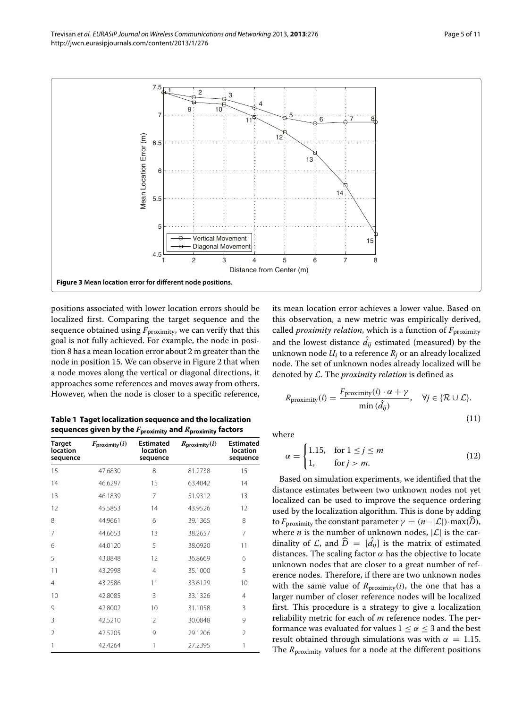(11)



<span id="page-4-0"></span>positions associated with lower location errors should be localized first. Comparing the target sequence and the sequence obtained using  $F_{\text{proximity}}$ , we can verify that this goal is not fully achieved. For example, the node in position 8 has a mean location error about 2 m greater than the node in position 15. We can observe in Figure [2](#page-3-1) that when a node moves along the vertical or diagonal directions, it approaches some references and moves away from others. However, when the node is closer to a specific reference,

<span id="page-4-1"></span>**Table 1 Taget localization sequence and the localization sequences given by the** *F***proximity and** *R***proximity factors**

| <b>Target</b><br>location<br>sequence | $F_{\text{proximity}}(i)$ | <b>Estimated</b><br>location<br>sequence | $R_{\text{proximity}}(i)$ | <b>Estimated</b><br><b>location</b><br>sequence |
|---------------------------------------|---------------------------|------------------------------------------|---------------------------|-------------------------------------------------|
| 15                                    | 47.6830                   | 8                                        | 81.2738                   | 15                                              |
| 14                                    | 46.6297                   | 15                                       | 63.4042                   | 14                                              |
| 13                                    | 46.1839                   | 7                                        | 51.9312                   | 13                                              |
| 12                                    | 45.5853                   | 14                                       | 43.9526                   | 12                                              |
| 8                                     | 44.9661                   | 6                                        | 39.1365                   | 8                                               |
| 7                                     | 44.6653                   | 13                                       | 38.2657                   | 7                                               |
| 6                                     | 44.0120                   | 5                                        | 38.0920                   | 11                                              |
| 5                                     | 43.8848                   | 12                                       | 36.8669                   | 6                                               |
| 11                                    | 43.2998                   | $\overline{4}$                           | 35.1000                   | 5                                               |
| $\overline{4}$                        | 43.2586                   | 11                                       | 33.6129                   | 10                                              |
| 10                                    | 42.8085                   | 3                                        | 33.1326                   | $\overline{4}$                                  |
| 9                                     | 42.8002                   | 10                                       | 31.1058                   | 3                                               |
| 3                                     | 42.5210                   | $\mathcal{P}$                            | 30.0848                   | 9                                               |
| $\mathfrak{D}$                        | 42.5205                   | 9                                        | 29.1206                   | $\mathfrak{D}$                                  |
| 1                                     | 42.4264                   | 1                                        | 27.2395                   | 1                                               |

its mean location error achieves a lower value. Based on this observation, a new metric was empirically derived, called *proximity relation*, which is a function of *F*proximity and the lowest distance  $d_{ij}$  estimated (measured) by the unknown node *Ui* to a reference *Rj* or an already localized node. The set of unknown nodes already localized will be denoted by L. The *proximity relation* is defined as

$$
R_{\text{proximity}}(i) = \frac{F_{\text{proximity}}(i) \cdot \alpha + \gamma}{\min(\hat{d}_{ij})}, \quad \forall j \in \{R \cup \mathcal{L}\}.
$$

where

$$
\alpha = \begin{cases} 1.15, & \text{for } 1 \le j \le m \\ 1, & \text{for } j > m. \end{cases} \tag{12}
$$

Based on simulation experiments, we identified that the distance estimates between two unknown nodes not yet localized can be used to improve the sequence ordering used by the localization algorithm. This is done by adding to  $F_{\text{proximity}}$  the constant parameter  $\gamma = (n - |\mathcal{L}|) \cdot \max(\widehat{D})$ , where *n* is the number of unknown nodes,  $|\mathcal{L}|$  is the cardinality of  $\mathcal{L}$ , and  $D = [d_{ij}]$  is the matrix of estimated distances. The scaling factor  $\alpha$  has the objective to locate unknown nodes that are closer to a great number of reference nodes. Therefore, if there are two unknown nodes with the same value of  $R_{\text{proximity}}(i)$ , the one that has a larger number of closer reference nodes will be localized first. This procedure is a strategy to give a localization reliability metric for each of *m* reference nodes. The performance was evaluated for values  $1 \leq \alpha \leq 3$  and the best result obtained through simulations was with  $\alpha = 1.15$ . The *R*<sub>proximity</sub> values for a node at the different positions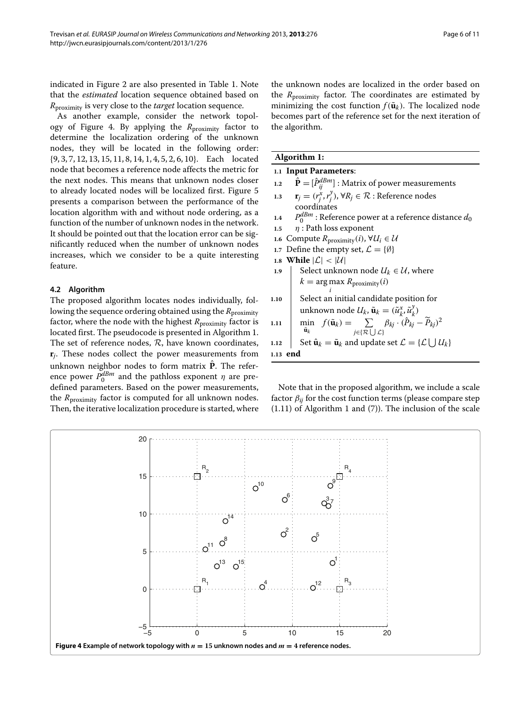indicated in Figure [2](#page-3-1) are also presented in Table [1.](#page-4-1) Note that the *estimated* location sequence obtained based on *R*proximity is very close to the *target* location sequence.

As another example, consider the network topol-ogy of Figure [4.](#page-5-0) By applying the *R*<sub>proximity</sub> factor to determine the localization ordering of the unknown nodes, they will be located in the following order: {9, 3, 7, 12, 13, 15, 11, 8, 14, 1, 4, 5, 2, 6, 10}. Each located node that becomes a reference node affects the metric for the next nodes. This means that unknown nodes closer to already located nodes will be localized first. Figure [5](#page-6-0) presents a comparison between the performance of the location algorithm with and without node ordering, as a function of the number of unknown nodes in the network. It should be pointed out that the location error can be significantly reduced when the number of unknown nodes increases, which we consider to be a quite interesting feature.

#### **4.2 Algorithm**

The proposed algorithm locates nodes individually, following the sequence ordering obtained using the *R*<sub>proximity</sub> factor, where the node with the highest  $R_{\text{proximity}}$  factor is located first. The pseudocode is presented in Algorithm [1.](#page-5-1) The set of reference nodes,  $R$ , have known coordinates, **r***j*. These nodes collect the power measurements from unknown neighbor nodes to form matrix  $\hat{P}$ . The reference power  $P_0^{dBm}$  and the pathloss exponent  $\eta$  are predefined parameters. Based on the power measurements, the *R*proximity factor is computed for all unknown nodes. Then, the iterative localization procedure is started, where the unknown nodes are localized in the order based on the *R*proximity factor. The coordinates are estimated by minimizing the cost function  $f(\mathbf{\tilde{u}}_k)$ . The localized node becomes part of the reference set for the next iteration of the algorithm.

#### <span id="page-5-1"></span>**Algorithm 1:**

# **1.1 Input Parameters**:

- 1.2  $\hat{\mathbf{P}} = [\hat{P}_{ij}^{dBm}]$  : Matrix of power measurements
- **1.3 r**<sub>*j*</sub> =  $(r_j^x, r_j^y)$ ,  $\forall R_j \in \mathcal{R}$  : Reference nodes coordinates
- **1.4**  $P_0^{dBm}$  : Reference power at a reference distance  $d_0$
- **1.5** *η* : Path loss exponent
- **1.6** Compute  $R_{\text{proximity}}(i)$ , ∀ $U_i \in \mathcal{U}$
- **1.7** Define the empty set,  $\mathcal{L} = \{\emptyset\}$
- 1.8 **While**  $|\mathcal{L}| < |\mathcal{U}|$
- **1.9** Select unknown node  $U_k \in \mathcal{U}$ , where  $k = \arg \max_{i} R_{\text{proximity}}(i)$

1.10 Select an initial candidate position for unknown node 
$$
U_k
$$
,  $\tilde{\mathbf{u}}_k = (\tilde{u}_k^{\tilde{x}}, \tilde{u}_k^{\tilde{y}})$   
1.11 min  $f(\tilde{\mathbf{u}}_k) = \sum_{i \in \{2, 1, \ldots, L\}} \beta_{kj} \cdot (\hat{P}_{kj} - \tilde{P}_{kj})^2$ 

1.12 
$$
\begin{array}{c}\n\mathbf{\ddot{u}}_k \\
\text{Set } \hat{\mathbf{u}}_k = \tilde{\mathbf{u}}_k \text{ and update set } \mathcal{L} = \{\mathcal{L} \cup \mathcal{U}_k\}\n\end{array}
$$

**1.13 end**

Note that in the proposed algorithm, we include a scale factor  $\beta_{ij}$  for the cost function terms (please compare step (1.11) of Algorithm [1](#page-5-1) and [\(7\)](#page-3-2)). The inclusion of the scale

<span id="page-5-0"></span>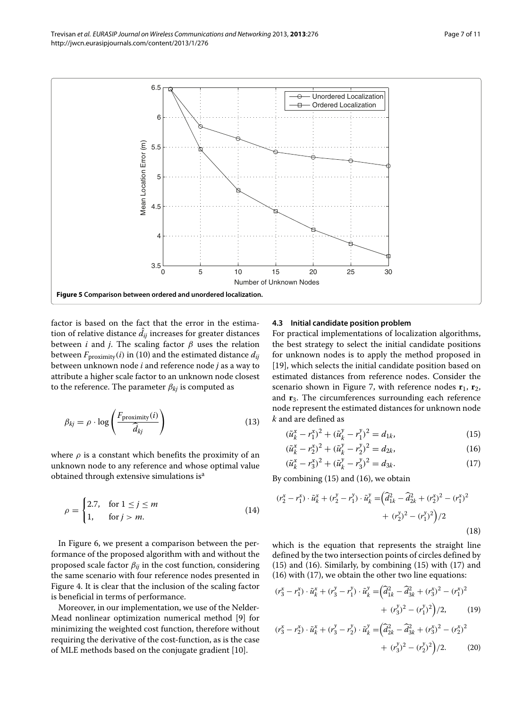

<span id="page-6-0"></span>factor is based on the fact that the error in the estimation of relative distance  $d_{ij}$  increases for greater distances between *i* and *j*. The scaling factor *β* uses the relation between  $F_{\text{proximity}}(i)$  in [\(10\)](#page-3-3) and the estimated distance  $d_{ij}$ between unknown node *i* and reference node *j* as a way to attribute a higher scale factor to an unknown node closest to the reference. The parameter  $\beta_{ki}$  is computed as

$$
\beta_{kj} = \rho \cdot \log \left( \frac{F_{\text{proximity}}(i)}{\widehat{d}_{kj}} \right) \tag{13}
$$

where  $\rho$  is a constant which benefits the proximity of an unknown node to any reference and whose optimal value obtained through extensive simulations is<sup>a</sup>

$$
\rho = \begin{cases} 2.7, & \text{for } 1 \le j \le m \\ 1, & \text{for } j > m. \end{cases} \tag{14}
$$

In Figure [6,](#page-7-1) we present a comparison between the performance of the proposed algorithm with and without the proposed scale factor *βij* in the cost function, considering the same scenario with four reference nodes presented in Figure [4.](#page-5-0) It is clear that the inclusion of the scaling factor is beneficial in terms of performance.

Moreover, in our implementation, we use of the Nelder-Mead nonlinear optimization numerical method [\[9\]](#page-10-7) for minimizing the weighted cost function, therefore without requiring the derivative of the cost-function, as is the case of MLE methods based on the conjugate gradient [\[10\]](#page-10-8).

#### **4.3 Initial candidate position problem**

For practical implementations of localization algorithms, the best strategy to select the initial candidate positions for unknown nodes is to apply the method proposed in [\[19\]](#page-10-15), which selects the initial candidate position based on estimated distances from reference nodes. Consider the scenario shown in Figure [7,](#page-7-2) with reference nodes  $\mathbf{r}_1$ ,  $\mathbf{r}_2$ , and **r**3. The circumferences surrounding each reference node represent the estimated distances for unknown node *k* and are defined as

<span id="page-6-4"></span><span id="page-6-1"></span>
$$
(\tilde{u}_k^x - r_1^x)^2 + (\tilde{u}_k^y - r_1^y)^2 = d_{1k},
$$
\n(15)

<span id="page-6-2"></span>
$$
(\tilde{u}_k^x - r_2^x)^2 + (\tilde{u}_k^y - r_2^y)^2 = d_{2k},
$$
\n(16)

<span id="page-6-3"></span>
$$
(\tilde{u}_k^x - r_3^x)^2 + (\tilde{u}_k^y - r_3^y)^2 = d_{3k}.
$$
 (17)

By combining [\(15\)](#page-6-1) and [\(16\)](#page-6-2), we obtain

$$
(r_2^x - r_1^x) \cdot \tilde{u}_k^x + (r_2^y - r_1^y) \cdot \tilde{u}_k^y = \left(\hat{d}_{1k}^2 - \hat{d}_{2k}^2 + (r_2^x)^2 - (r_1^x)^2\right) + (r_2^y)^2 - (r_1^y)^2\right)/2
$$
\n(18)

which is the equation that represents the straight line defined by the two intersection points of circles defined by [\(15\)](#page-6-1) and [\(16\)](#page-6-2). Similarly, by combining [\(15\)](#page-6-1) with [\(17\)](#page-6-3) and [\(16\)](#page-6-2) with [\(17\)](#page-6-3), we obtain the other two line equations:

$$
(r_3^x - r_1^x) \cdot \tilde{u}_k^x + (r_3^y - r_1^y) \cdot \tilde{u}_k^y = \left(\tilde{d}_{1k}^2 - \tilde{d}_{3k}^2 + (r_3^x)^2 - (r_1^x)^2 + (r_3^y)^2 - (r_1^y)^2\right)/2,
$$
\n(19)

$$
(r_3^x - r_2^x) \cdot \tilde{u}_k^x + (r_3^y - r_2^y) \cdot \tilde{u}_k^y = \left(\tilde{d}_{2k}^2 - \tilde{d}_{3k}^2 + (r_3^x)^2 - (r_2^x)^2 + (r_3^y)^2 - (r_2^y)^2\right)/2.
$$
 (20)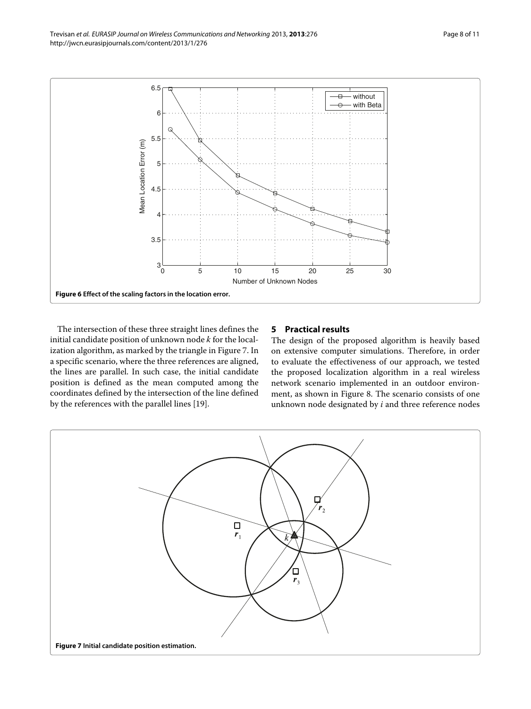

<span id="page-7-1"></span>The intersection of these three straight lines defines the initial candidate position of unknown node *k* for the localization algorithm, as marked by the triangle in Figure [7.](#page-7-2) In a specific scenario, where the three references are aligned, the lines are parallel. In such case, the initial candidate position is defined as the mean computed among the coordinates defined by the intersection of the line defined by the references with the parallel lines [\[19\]](#page-10-15).

# <span id="page-7-0"></span>**5 Practical results**

The design of the proposed algorithm is heavily based on extensive computer simulations. Therefore, in order to evaluate the effectiveness of our approach, we tested the proposed localization algorithm in a real wireless network scenario implemented in an outdoor environment, as shown in Figure [8.](#page-8-0) The scenario consists of one unknown node designated by *i* and three reference nodes

<span id="page-7-2"></span>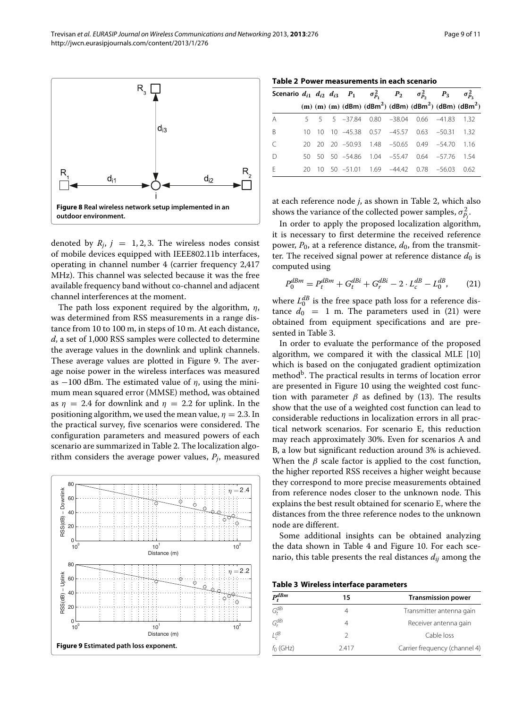Trevisan *et al. EURASIP Journal on Wireless Communications and Networking* 2013, **2013**:276 Page 9 of 11 http://jwcn.eurasipjournals.com/content/2013/1/276



<span id="page-8-0"></span>denoted by  $R_j$ ,  $j = 1, 2, 3$ . The wireless nodes consist of mobile devices equipped with IEEE802.11b interfaces, operating in channel number 4 (carrier frequency 2,417 MHz). This channel was selected because it was the free available frequency band without co-channel and adjacent channel interferences at the moment.

The path loss exponent required by the algorithm, *η*, was determined from RSS measurements in a range distance from 10 to 100 m, in steps of 10 m. At each distance, *d*, a set of 1,000 RSS samples were collected to determine the average values in the downlink and uplink channels. These average values are plotted in Figure [9.](#page-8-1) The average noise power in the wireless interfaces was measured as  $-100$  dBm. The estimated value of  $\eta$ , using the minimum mean squared error (MMSE) method, was obtained as  $\eta = 2.4$  for downlink and  $\eta = 2.2$  for uplink. In the positioning algorithm, we used the mean value,  $\eta = 2.3$ . In the practical survey, five scenarios were considered. The configuration parameters and measured powers of each scenario are summarized in Table [2.](#page-8-2) The localization algorithm considers the average power values, *Pj*, measured

<span id="page-8-1"></span>

**Table 2 Power measurements in each scenario**

<span id="page-8-2"></span>

|  |  |  |  | Scenario $d_{i1}$ $d_{i2}$ $d_{i3}$ $P_1$ $\sigma_{p_1}^2$ $P_2$ $\sigma_{p_2}^2$ $P_3$ $\sigma_{p_3}^2$<br>(m) (m) (m) (dBm) (dBm <sup>2</sup> ) (dBm) (dBm <sup>2</sup> ) (dBm) (dBm <sup>2</sup> )<br>5 5 5 -37.84 0.80 -38.04 0.66 -41.83 1.32<br>10 10 10 -45.38 0.57 -45.57 0.63 -50.31 1.32<br>20 20 20 -50.93 1.48 -50.65 0.49 -54.70 1.16<br>50 50 50 -54.86 1.04 -55.47 0.64 -57.76 1.54<br>20 10 50 -51.01 1.69 -44.42 0.78 -56.03 0.62 |
|--|--|--|--|----------------------------------------------------------------------------------------------------------------------------------------------------------------------------------------------------------------------------------------------------------------------------------------------------------------------------------------------------------------------------------------------------------------------------------------------------|

at each reference node *j*, as shown in Table [2,](#page-8-2) which also shows the variance of the collected power samples,  $\sigma_{P_j}^2$ .

In order to apply the proposed localization algorithm, it is necessary to first determine the received reference power,  $P_0$ , at a reference distance,  $d_0$ , from the transmitter. The received signal power at reference distance  $d_0$  is computed using

<span id="page-8-3"></span>
$$
P_0^{dBm} = P_t^{dBm} + G_t^{dBi} + G_r^{dBi} - 2 \cdot L_c^{dB} - L_0^{dB}, \qquad (21)
$$

where  $L_0^{dB}$  is the free space path loss for a reference distance  $d_0 = 1$  m. The parameters used in [\(21\)](#page-8-3) were obtained from equipment specifications and are presented in Table [3.](#page-8-4)

In order to evaluate the performance of the proposed algorithm, we compared it with the classical MLE [\[10\]](#page-10-8) which is based on the conjugated gradient optimization method<sup>b</sup>. The practical results in terms of location error are presented in Figure [10](#page-9-1) using the weighted cost function with parameter  $\beta$  as defined by [\(13\)](#page-6-4). The results show that the use of a weighted cost function can lead to considerable reductions in localization errors in all practical network scenarios. For scenario E, this reduction may reach approximately 30%. Even for scenarios A and B, a low but significant reduction around 3% is achieved. When the  $\beta$  scale factor is applied to the cost function, the higher reported RSS receives a higher weight because they correspond to more precise measurements obtained from reference nodes closer to the unknown node. This explains the best result obtained for scenario E, where the distances from the three reference nodes to the unknown node are different.

Some additional insights can be obtained analyzing the data shown in Table [4](#page-9-2) and Figure [10.](#page-9-1) For each scenario, this table presents the real distances  $d_{ij}$  among the

**Table 3 Wireless interface parameters**

<span id="page-8-4"></span>

| $P_t^{dBm}$ | 15   | <b>Transmission power</b>     |  |  |
|-------------|------|-------------------------------|--|--|
| $G_t^{dBi}$ | 4    | Transmitter antenna gain      |  |  |
| $G_r^{dBi}$ | 4    | Receiver antenna gain         |  |  |
| $L_c^{dB}$  | 2    | Cable loss                    |  |  |
| $f_0$ (GHz) | 2417 | Carrier frequency (channel 4) |  |  |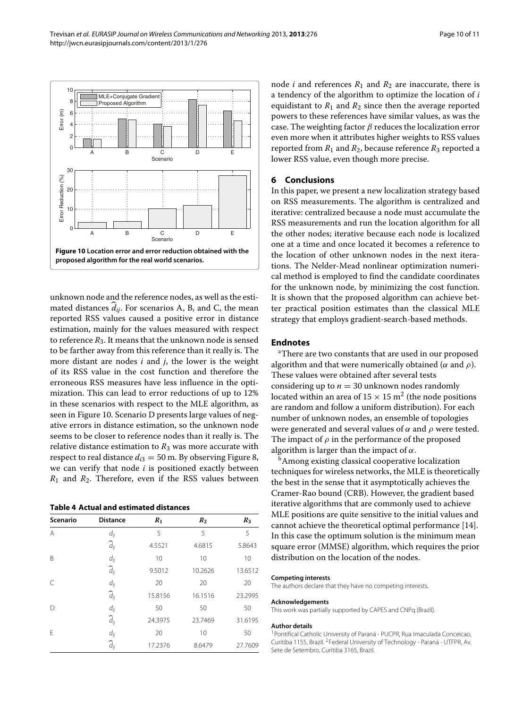

<span id="page-9-1"></span>unknown node and the reference nodes, as well as the estimated distances  $\hat{d}_{ij}$ . For scenarios A, B, and C, the mean reported RSS values caused a positive error in distance estimation, mainly for the values measured with respect to reference  $R_3$ . It means that the unknown node is sensed to be farther away from this reference than it really is. The more distant are nodes *i* and *j*, the lower is the weight of its RSS value in the cost function and therefore the erroneous RSS measures have less influence in the optimization. This can lead to error reductions of up to 12% in these scenarios with respect to the MLE algorithm, as seen in Figure [10.](#page-9-1) Scenario D presents large values of negative errors in distance estimation, so the unknown node seems to be closer to reference nodes than it really is. The relative distance estimation to  $R_3$  was more accurate with respect to real distance  $d_{i3} = 50$  m. By observing Figure [8,](#page-8-0) we can verify that node *i* is positioned exactly between  $R_1$  and  $R_2$ . Therefore, even if the RSS values between

**Table 4 Actual and estimated distances**

<span id="page-9-2"></span>

| <b>Scenario</b> | <b>Distance</b>    | $R_1$   | $R_2$   | $R_3$   |
|-----------------|--------------------|---------|---------|---------|
| A               | $d_{ij}$           | 5       | 5       | 5       |
|                 | $\widehat{d}_{ij}$ | 4.5521  | 4.6815  | 5.8643  |
| B               | $d_{ij}$           | 10      | 10      | 10      |
|                 | $\widehat{d}_{ij}$ | 9.5012  | 10.2626 | 13.6512 |
| $\subset$       | $d_{ij}$           | 20      | 20      | 20      |
|                 | $\widehat{d}_{ij}$ | 15.8156 | 16.1516 | 23.2995 |
| D               | $d_{ij}$           | 50      | 50      | 50      |
|                 | $\widehat{d}_{ij}$ | 24.3975 | 23.7469 | 31.6195 |
| F               | $d_{ij}$           | 20      | 10      | 50      |
|                 | $\widehat{d}_{ij}$ | 17.2376 | 8.6479  | 27.7609 |

node *i* and references  $R_1$  and  $R_2$  are inaccurate, there is a tendency of the algorithm to optimize the location of *i* equidistant to  $R_1$  and  $R_2$  since then the average reported powers to these references have similar values, as was the case. The weighting factor *β* reduces the localization error even more when it attributes higher weights to RSS values reported from  $R_1$  and  $R_2$ , because reference  $R_3$  reported a lower RSS value, even though more precise.

### <span id="page-9-0"></span>**6 Conclusions**

In this paper, we present a new localization strategy based on RSS measurements. The algorithm is centralized and iterative: centralized because a node must accumulate the RSS measurements and run the location algorithm for all the other nodes; iterative because each node is localized one at a time and once located it becomes a reference to the location of other unknown nodes in the next iterations. The Nelder-Mead nonlinear optimization numerical method is employed to find the candidate coordinates for the unknown node, by minimizing the cost function. It is shown that the proposed algorithm can achieve better practical position estimates than the classical MLE strategy that employs gradient-search-based methods.

#### **Endnotes**

a There are two constants that are used in our proposed algorithm and that were numerically obtained (*α* and *ρ*). These values were obtained after several tests considering up to  $n = 30$  unknown nodes randomly located within an area of  $15 \times 15$  m<sup>2</sup> (the node positions are random and follow a uniform distribution). For each number of unknown nodes, an ensemble of topologies were generated and several values of *α* and *ρ* were tested. The impact of  $\rho$  in the performance of the proposed algorithm is larger than the impact of *α*.

<sup>b</sup>Among existing classical cooperative localization techniques for wireless networks, the MLE is theoretically the best in the sense that it asymptotically achieves the Cramer-Rao bound (CRB). However, the gradient based iterative algorithms that are commonly used to achieve MLE positions are quite sensitive to the initial values and cannot achieve the theoretical optimal performance [\[14\]](#page-10-10). In this case the optimum solution is the minimum mean square error (MMSE) algorithm, which requires the prior distribution on the location of the nodes.

#### **Competing interests**

The authors declare that they have no competing interests.

#### **Acknowledgements**

This work was partially supported by CAPES and CNPq (Brazil).

#### **Author details**

1Pontifical Catholic University of Paraná - PUCPR, Rua Imaculada Conceicao, Curitiba 1155, Brazil. 2Federal University of Technology - Paraná - UTFPR, Av. Sete de Setembro, Curitiba 3165, Brazil.